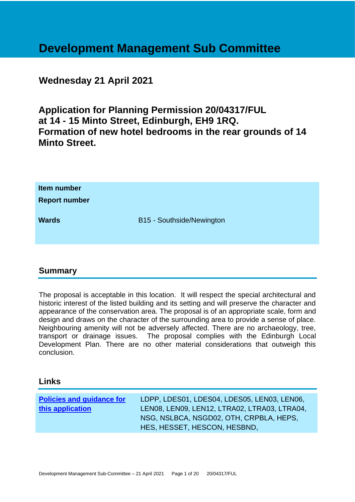# **Development Management Sub Committee**

# **Wednesday 21 April 2021**

**Application for Planning Permission 20/04317/FUL at 14 - 15 Minto Street, Edinburgh, EH9 1RQ. Formation of new hotel bedrooms in the rear grounds of 14 Minto Street.**

| Item number<br><b>Report number</b> |                           |
|-------------------------------------|---------------------------|
| <b>Wards</b>                        | B15 - Southside/Newington |

# **Summary**

The proposal is acceptable in this location. It will respect the special architectural and historic interest of the listed building and its setting and will preserve the character and appearance of the conservation area. The proposal is of an appropriate scale, form and design and draws on the character of the surrounding area to provide a sense of place. Neighbouring amenity will not be adversely affected. There are no archaeology, tree, transport or drainage issues. The proposal complies with the Edinburgh Local Development Plan. There are no other material considerations that outweigh this conclusion.

### **Links**

| <b>Policies and guidance for</b> | LDPP, LDES01, LDES04, LDES05, LEN03, LEN06,                             |
|----------------------------------|-------------------------------------------------------------------------|
| this application                 | LEN08, LEN09, LEN12, LTRA02, LTRA03, LTRA04,                            |
|                                  | NSG, NSLBCA, NSGD02, OTH, CRPBLA, HEPS,<br>HES, HESSET, HESCON, HESBND, |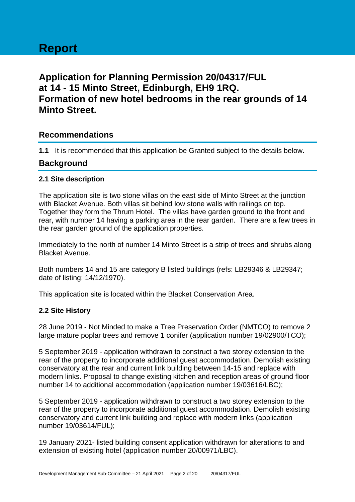# **Application for Planning Permission 20/04317/FUL at 14 - 15 Minto Street, Edinburgh, EH9 1RQ. Formation of new hotel bedrooms in the rear grounds of 14 Minto Street.**

# **Recommendations**

**1.1** It is recommended that this application be Granted subject to the details below.

# **Background**

### **2.1 Site description**

The application site is two stone villas on the east side of Minto Street at the junction with Blacket Avenue. Both villas sit behind low stone walls with railings on top. Together they form the Thrum Hotel. The villas have garden ground to the front and rear, with number 14 having a parking area in the rear garden. There are a few trees in the rear garden ground of the application properties.

Immediately to the north of number 14 Minto Street is a strip of trees and shrubs along Blacket Avenue.

Both numbers 14 and 15 are category B listed buildings (refs: LB29346 & LB29347; date of listing: 14/12/1970).

This application site is located within the Blacket Conservation Area.

### **2.2 Site History**

28 June 2019 - Not Minded to make a Tree Preservation Order (NMTCO) to remove 2 large mature poplar trees and remove 1 conifer (application number 19/02900/TCO);

5 September 2019 - application withdrawn to construct a two storey extension to the rear of the property to incorporate additional guest accommodation. Demolish existing conservatory at the rear and current link building between 14-15 and replace with modern links. Proposal to change existing kitchen and reception areas of ground floor number 14 to additional accommodation (application number 19/03616/LBC);

5 September 2019 - application withdrawn to construct a two storey extension to the rear of the property to incorporate additional guest accommodation. Demolish existing conservatory and current link building and replace with modern links (application number 19/03614/FUL);

19 January 2021- listed building consent application withdrawn for alterations to and extension of existing hotel (application number 20/00971/LBC).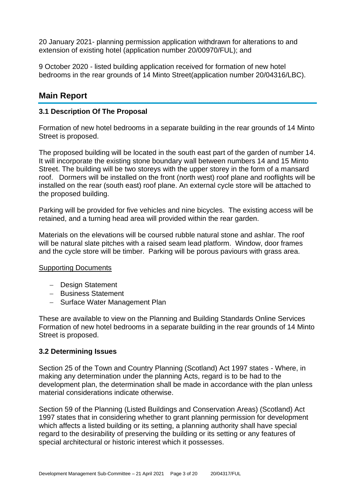20 January 2021- planning permission application withdrawn for alterations to and extension of existing hotel (application number 20/00970/FUL); and

9 October 2020 - listed building application received for formation of new hotel bedrooms in the rear grounds of 14 Minto Street(application number 20/04316/LBC).

# **Main Report**

### **3.1 Description Of The Proposal**

Formation of new hotel bedrooms in a separate building in the rear grounds of 14 Minto Street is proposed.

The proposed building will be located in the south east part of the garden of number 14. It will incorporate the existing stone boundary wall between numbers 14 and 15 Minto Street. The building will be two storeys with the upper storey in the form of a mansard roof. Dormers will be installed on the front (north west) roof plane and rooflights will be installed on the rear (south east) roof plane. An external cycle store will be attached to the proposed building.

Parking will be provided for five vehicles and nine bicycles. The existing access will be retained, and a turning head area will provided within the rear garden.

Materials on the elevations will be coursed rubble natural stone and ashlar. The roof will be natural slate pitches with a raised seam lead platform. Window, door frames and the cycle store will be timber. Parking will be porous paviours with grass area.

### Supporting Documents

- − Design Statement
- − Business Statement
- − Surface Water Management Plan

These are available to view on the Planning and Building Standards Online Services Formation of new hotel bedrooms in a separate building in the rear grounds of 14 Minto Street is proposed.

### **3.2 Determining Issues**

Section 25 of the Town and Country Planning (Scotland) Act 1997 states - Where, in making any determination under the planning Acts, regard is to be had to the development plan, the determination shall be made in accordance with the plan unless material considerations indicate otherwise.

Section 59 of the Planning (Listed Buildings and Conservation Areas) (Scotland) Act 1997 states that in considering whether to grant planning permission for development which affects a listed building or its setting, a planning authority shall have special regard to the desirability of preserving the building or its setting or any features of special architectural or historic interest which it possesses.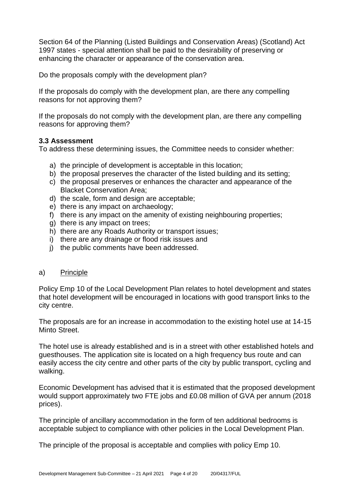Section 64 of the Planning (Listed Buildings and Conservation Areas) (Scotland) Act 1997 states - special attention shall be paid to the desirability of preserving or enhancing the character or appearance of the conservation area.

Do the proposals comply with the development plan?

If the proposals do comply with the development plan, are there any compelling reasons for not approving them?

If the proposals do not comply with the development plan, are there any compelling reasons for approving them?

### **3.3 Assessment**

To address these determining issues, the Committee needs to consider whether:

- a) the principle of development is acceptable in this location;
- b) the proposal preserves the character of the listed building and its setting;
- c) the proposal preserves or enhances the character and appearance of the Blacket Conservation Area;
- d) the scale, form and design are acceptable;
- e) there is any impact on archaeology;
- f) there is any impact on the amenity of existing neighbouring properties;
- g) there is any impact on trees;
- h) there are any Roads Authority or transport issues;
- i) there are any drainage or flood risk issues and
- i) the public comments have been addressed.

### a) Principle

Policy Emp 10 of the Local Development Plan relates to hotel development and states that hotel development will be encouraged in locations with good transport links to the city centre.

The proposals are for an increase in accommodation to the existing hotel use at 14-15 Minto Street.

The hotel use is already established and is in a street with other established hotels and guesthouses. The application site is located on a high frequency bus route and can easily access the city centre and other parts of the city by public transport, cycling and walking.

Economic Development has advised that it is estimated that the proposed development would support approximately two FTE jobs and £0.08 million of GVA per annum (2018 prices).

The principle of ancillary accommodation in the form of ten additional bedrooms is acceptable subject to compliance with other policies in the Local Development Plan.

The principle of the proposal is acceptable and complies with policy Emp 10.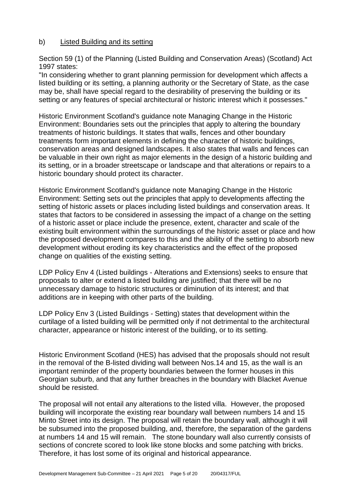### b) Listed Building and its setting

Section 59 (1) of the Planning (Listed Building and Conservation Areas) (Scotland) Act 1997 states:

"In considering whether to grant planning permission for development which affects a listed building or its setting, a planning authority or the Secretary of State, as the case may be, shall have special regard to the desirability of preserving the building or its setting or any features of special architectural or historic interest which it possesses."

Historic Environment Scotland's guidance note Managing Change in the Historic Environment: Boundaries sets out the principles that apply to altering the boundary treatments of historic buildings. It states that walls, fences and other boundary treatments form important elements in defining the character of historic buildings, conservation areas and designed landscapes. It also states that walls and fences can be valuable in their own right as major elements in the design of a historic building and its setting, or in a broader streetscape or landscape and that alterations or repairs to a historic boundary should protect its character.

Historic Environment Scotland's guidance note Managing Change in the Historic Environment: Setting sets out the principles that apply to developments affecting the setting of historic assets or places including listed buildings and conservation areas. It states that factors to be considered in assessing the impact of a change on the setting of a historic asset or place include the presence, extent, character and scale of the existing built environment within the surroundings of the historic asset or place and how the proposed development compares to this and the ability of the setting to absorb new development without eroding its key characteristics and the effect of the proposed change on qualities of the existing setting.

LDP Policy Env 4 (Listed buildings - Alterations and Extensions) seeks to ensure that proposals to alter or extend a listed building are justified; that there will be no unnecessary damage to historic structures or diminution of its interest; and that additions are in keeping with other parts of the building.

LDP Policy Env 3 (Listed Buildings - Setting) states that development within the curtilage of a listed building will be permitted only if not detrimental to the architectural character, appearance or historic interest of the building, or to its setting.

Historic Environment Scotland (HES) has advised that the proposals should not result in the removal of the B-listed dividing wall between Nos.14 and 15, as the wall is an important reminder of the property boundaries between the former houses in this Georgian suburb, and that any further breaches in the boundary with Blacket Avenue should be resisted.

The proposal will not entail any alterations to the listed villa. However, the proposed building will incorporate the existing rear boundary wall between numbers 14 and 15 Minto Street into its design. The proposal will retain the boundary wall, although it will be subsumed into the proposed building, and, therefore, the separation of the gardens at numbers 14 and 15 will remain. The stone boundary wall also currently consists of sections of concrete scored to look like stone blocks and some patching with bricks. Therefore, it has lost some of its original and historical appearance.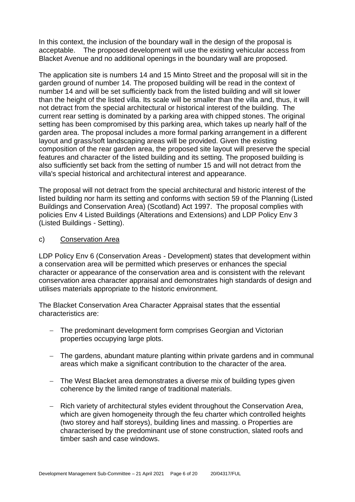In this context, the inclusion of the boundary wall in the design of the proposal is acceptable. The proposed development will use the existing vehicular access from Blacket Avenue and no additional openings in the boundary wall are proposed.

The application site is numbers 14 and 15 Minto Street and the proposal will sit in the garden ground of number 14. The proposed building will be read in the context of number 14 and will be set sufficiently back from the listed building and will sit lower than the height of the listed villa. Its scale will be smaller than the villa and, thus, it will not detract from the special architectural or historical interest of the building. The current rear setting is dominated by a parking area with chipped stones. The original setting has been compromised by this parking area, which takes up nearly half of the garden area. The proposal includes a more formal parking arrangement in a different layout and grass/soft landscaping areas will be provided. Given the existing composition of the rear garden area, the proposed site layout will preserve the special features and character of the listed building and its setting. The proposed building is also sufficiently set back from the setting of number 15 and will not detract from the villa's special historical and architectural interest and appearance.

The proposal will not detract from the special architectural and historic interest of the listed building nor harm its setting and conforms with section 59 of the Planning (Listed Buildings and Conservation Area) (Scotland) Act 1997. The proposal complies with policies Env 4 Listed Buildings (Alterations and Extensions) and LDP Policy Env 3 (Listed Buildings - Setting).

### c) Conservation Area

LDP Policy Env 6 (Conservation Areas - Development) states that development within a conservation area will be permitted which preserves or enhances the special character or appearance of the conservation area and is consistent with the relevant conservation area character appraisal and demonstrates high standards of design and utilises materials appropriate to the historic environment.

The Blacket Conservation Area Character Appraisal states that the essential characteristics are:

- − The predominant development form comprises Georgian and Victorian properties occupying large plots.
- − The gardens, abundant mature planting within private gardens and in communal areas which make a significant contribution to the character of the area.
- − The West Blacket area demonstrates a diverse mix of building types given coherence by the limited range of traditional materials.
- − Rich variety of architectural styles evident throughout the Conservation Area, which are given homogeneity through the feu charter which controlled heights (two storey and half storeys), building lines and massing. o Properties are characterised by the predominant use of stone construction, slated roofs and timber sash and case windows.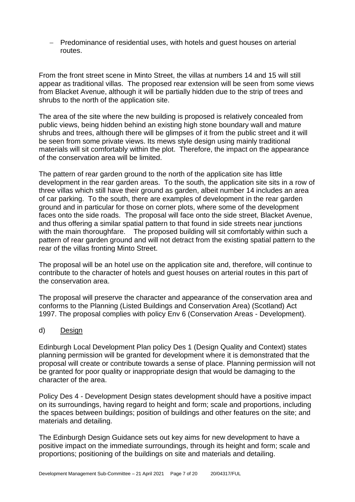− Predominance of residential uses, with hotels and guest houses on arterial routes.

From the front street scene in Minto Street, the villas at numbers 14 and 15 will still appear as traditional villas. The proposed rear extension will be seen from some views from Blacket Avenue, although it will be partially hidden due to the strip of trees and shrubs to the north of the application site.

The area of the site where the new building is proposed is relatively concealed from public views, being hidden behind an existing high stone boundary wall and mature shrubs and trees, although there will be glimpses of it from the public street and it will be seen from some private views. Its mews style design using mainly traditional materials will sit comfortably within the plot. Therefore, the impact on the appearance of the conservation area will be limited.

The pattern of rear garden ground to the north of the application site has little development in the rear garden areas. To the south, the application site sits in a row of three villas which still have their ground as garden, albeit number 14 includes an area of car parking. To the south, there are examples of development in the rear garden ground and in particular for those on corner plots, where some of the development faces onto the side roads. The proposal will face onto the side street, Blacket Avenue, and thus offering a similar spatial pattern to that found in side streets near junctions with the main thoroughfare. The proposed building will sit comfortably within such a pattern of rear garden ground and will not detract from the existing spatial pattern to the rear of the villas fronting Minto Street.

The proposal will be an hotel use on the application site and, therefore, will continue to contribute to the character of hotels and guest houses on arterial routes in this part of the conservation area.

The proposal will preserve the character and appearance of the conservation area and conforms to the Planning (Listed Buildings and Conservation Area) (Scotland) Act 1997. The proposal complies with policy Env 6 (Conservation Areas - Development).

### d) Design

Edinburgh Local Development Plan policy Des 1 (Design Quality and Context) states planning permission will be granted for development where it is demonstrated that the proposal will create or contribute towards a sense of place. Planning permission will not be granted for poor quality or inappropriate design that would be damaging to the character of the area.

Policy Des 4 - Development Design states development should have a positive impact on its surroundings, having regard to height and form; scale and proportions, including the spaces between buildings; position of buildings and other features on the site; and materials and detailing.

The Edinburgh Design Guidance sets out key aims for new development to have a positive impact on the immediate surroundings, through its height and form; scale and proportions; positioning of the buildings on site and materials and detailing.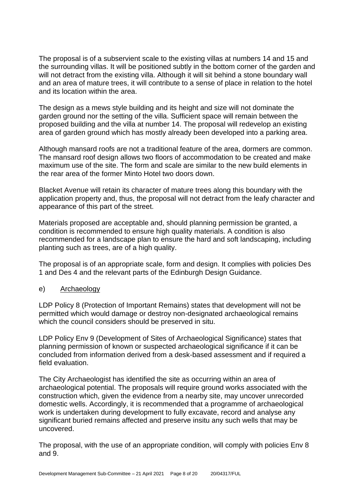The proposal is of a subservient scale to the existing villas at numbers 14 and 15 and the surrounding villas. It will be positioned subtly in the bottom corner of the garden and will not detract from the existing villa. Although it will sit behind a stone boundary wall and an area of mature trees, it will contribute to a sense of place in relation to the hotel and its location within the area.

The design as a mews style building and its height and size will not dominate the garden ground nor the setting of the villa. Sufficient space will remain between the proposed building and the villa at number 14. The proposal will redevelop an existing area of garden ground which has mostly already been developed into a parking area.

Although mansard roofs are not a traditional feature of the area, dormers are common. The mansard roof design allows two floors of accommodation to be created and make maximum use of the site. The form and scale are similar to the new build elements in the rear area of the former Minto Hotel two doors down.

Blacket Avenue will retain its character of mature trees along this boundary with the application property and, thus, the proposal will not detract from the leafy character and appearance of this part of the street.

Materials proposed are acceptable and, should planning permission be granted, a condition is recommended to ensure high quality materials. A condition is also recommended for a landscape plan to ensure the hard and soft landscaping, including planting such as trees, are of a high quality.

The proposal is of an appropriate scale, form and design. It complies with policies Des 1 and Des 4 and the relevant parts of the Edinburgh Design Guidance.

### e) Archaeology

LDP Policy 8 (Protection of Important Remains) states that development will not be permitted which would damage or destroy non-designated archaeological remains which the council considers should be preserved in situ.

LDP Policy Env 9 (Development of Sites of Archaeological Significance) states that planning permission of known or suspected archaeological significance if it can be concluded from information derived from a desk-based assessment and if required a field evaluation.

The City Archaeologist has identified the site as occurring within an area of archaeological potential. The proposals will require ground works associated with the construction which, given the evidence from a nearby site, may uncover unrecorded domestic wells. Accordingly, it is recommended that a programme of archaeological work is undertaken during development to fully excavate, record and analyse any significant buried remains affected and preserve insitu any such wells that may be uncovered.

The proposal, with the use of an appropriate condition, will comply with policies Env 8 and 9.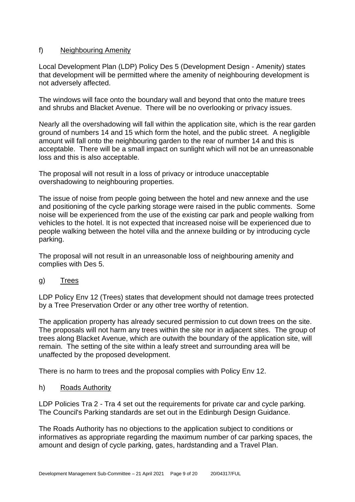### f) Neighbouring Amenity

Local Development Plan (LDP) Policy Des 5 (Development Design - Amenity) states that development will be permitted where the amenity of neighbouring development is not adversely affected.

The windows will face onto the boundary wall and beyond that onto the mature trees and shrubs and Blacket Avenue. There will be no overlooking or privacy issues.

Nearly all the overshadowing will fall within the application site, which is the rear garden ground of numbers 14 and 15 which form the hotel, and the public street. A negligible amount will fall onto the neighbouring garden to the rear of number 14 and this is acceptable. There will be a small impact on sunlight which will not be an unreasonable loss and this is also acceptable.

The proposal will not result in a loss of privacy or introduce unacceptable overshadowing to neighbouring properties.

The issue of noise from people going between the hotel and new annexe and the use and positioning of the cycle parking storage were raised in the public comments. Some noise will be experienced from the use of the existing car park and people walking from vehicles to the hotel. It is not expected that increased noise will be experienced due to people walking between the hotel villa and the annexe building or by introducing cycle parking.

The proposal will not result in an unreasonable loss of neighbouring amenity and complies with Des 5.

### g) Trees

LDP Policy Env 12 (Trees) states that development should not damage trees protected by a Tree Preservation Order or any other tree worthy of retention.

The application property has already secured permission to cut down trees on the site. The proposals will not harm any trees within the site nor in adjacent sites. The group of trees along Blacket Avenue, which are outwith the boundary of the application site, will remain. The setting of the site within a leafy street and surrounding area will be unaffected by the proposed development.

There is no harm to trees and the proposal complies with Policy Env 12.

h) Roads Authority

LDP Policies Tra 2 - Tra 4 set out the requirements for private car and cycle parking. The Council's Parking standards are set out in the Edinburgh Design Guidance.

The Roads Authority has no objections to the application subject to conditions or informatives as appropriate regarding the maximum number of car parking spaces, the amount and design of cycle parking, gates, hardstanding and a Travel Plan.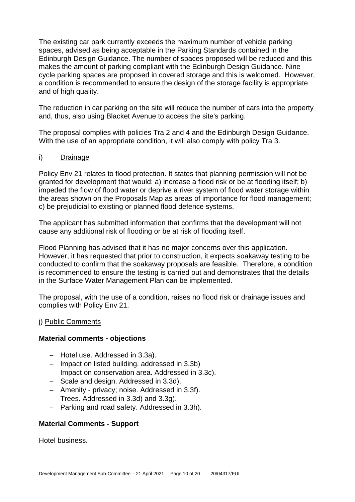The existing car park currently exceeds the maximum number of vehicle parking spaces, advised as being acceptable in the Parking Standards contained in the Edinburgh Design Guidance. The number of spaces proposed will be reduced and this makes the amount of parking compliant with the Edinburgh Design Guidance. Nine cycle parking spaces are proposed in covered storage and this is welcomed. However, a condition is recommended to ensure the design of the storage facility is appropriate and of high quality.

The reduction in car parking on the site will reduce the number of cars into the property and, thus, also using Blacket Avenue to access the site's parking.

The proposal complies with policies Tra 2 and 4 and the Edinburgh Design Guidance. With the use of an appropriate condition, it will also comply with policy Tra 3.

### i) Drainage

Policy Env 21 relates to flood protection. It states that planning permission will not be granted for development that would: a) increase a flood risk or be at flooding itself; b) impeded the flow of flood water or deprive a river system of flood water storage within the areas shown on the Proposals Map as areas of importance for flood management; c) be prejudicial to existing or planned flood defence systems.

The applicant has submitted information that confirms that the development will not cause any additional risk of flooding or be at risk of flooding itself.

Flood Planning has advised that it has no major concerns over this application. However, it has requested that prior to construction, it expects soakaway testing to be conducted to confirm that the soakaway proposals are feasible. Therefore, a condition is recommended to ensure the testing is carried out and demonstrates that the details in the Surface Water Management Plan can be implemented.

The proposal, with the use of a condition, raises no flood risk or drainage issues and complies with Policy Env 21.

### j) Public Comments

### **Material comments - objections**

- − Hotel use. Addressed in 3.3a).
- − Impact on listed building. addressed in 3.3b)
- − Impact on conservation area. Addressed in 3.3c).
- − Scale and design. Addressed in 3.3d).
- − Amenity privacy; noise. Addressed in 3.3f).
- − Trees. Addressed in 3.3d) and 3.3g).
- − Parking and road safety. Addressed in 3.3h).

### **Material Comments - Support**

Hotel business.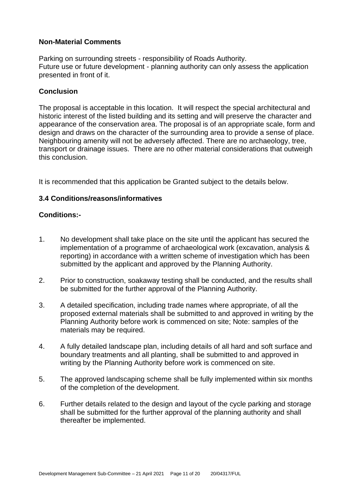### **Non-Material Comments**

Parking on surrounding streets - responsibility of Roads Authority. Future use or future development - planning authority can only assess the application presented in front of it.

### **Conclusion**

The proposal is acceptable in this location. It will respect the special architectural and historic interest of the listed building and its setting and will preserve the character and appearance of the conservation area. The proposal is of an appropriate scale, form and design and draws on the character of the surrounding area to provide a sense of place. Neighbouring amenity will not be adversely affected. There are no archaeology, tree, transport or drainage issues. There are no other material considerations that outweigh this conclusion.

It is recommended that this application be Granted subject to the details below.

### **3.4 Conditions/reasons/informatives**

### **Conditions:-**

- 1. No development shall take place on the site until the applicant has secured the implementation of a programme of archaeological work (excavation, analysis & reporting) in accordance with a written scheme of investigation which has been submitted by the applicant and approved by the Planning Authority.
- 2. Prior to construction, soakaway testing shall be conducted, and the results shall be submitted for the further approval of the Planning Authority.
- 3. A detailed specification, including trade names where appropriate, of all the proposed external materials shall be submitted to and approved in writing by the Planning Authority before work is commenced on site; Note: samples of the materials may be required.
- 4. A fully detailed landscape plan, including details of all hard and soft surface and boundary treatments and all planting, shall be submitted to and approved in writing by the Planning Authority before work is commenced on site.
- 5. The approved landscaping scheme shall be fully implemented within six months of the completion of the development.
- 6. Further details related to the design and layout of the cycle parking and storage shall be submitted for the further approval of the planning authority and shall thereafter be implemented.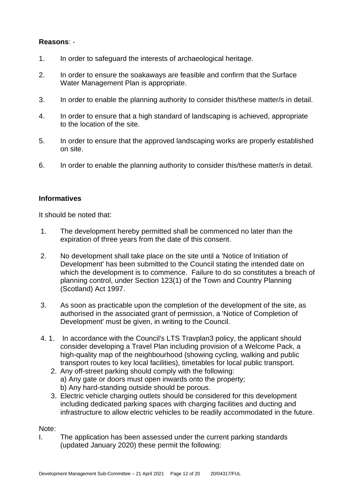### **Reasons**: -

- 1. In order to safeguard the interests of archaeological heritage.
- 2. In order to ensure the soakaways are feasible and confirm that the Surface Water Management Plan is appropriate.
- 3. In order to enable the planning authority to consider this/these matter/s in detail.
- 4. In order to ensure that a high standard of landscaping is achieved, appropriate to the location of the site.
- 5. In order to ensure that the approved landscaping works are properly established on site.
- 6. In order to enable the planning authority to consider this/these matter/s in detail.

### **Informatives**

It should be noted that:

- 1. The development hereby permitted shall be commenced no later than the expiration of three years from the date of this consent.
- 2. No development shall take place on the site until a 'Notice of Initiation of Development' has been submitted to the Council stating the intended date on which the development is to commence. Failure to do so constitutes a breach of planning control, under Section 123(1) of the Town and Country Planning (Scotland) Act 1997.
- 3. As soon as practicable upon the completion of the development of the site, as authorised in the associated grant of permission, a 'Notice of Completion of Development' must be given, in writing to the Council.
- 4. 1. In accordance with the Council's LTS Travplan3 policy, the applicant should consider developing a Travel Plan including provision of a Welcome Pack, a high-quality map of the neighbourhood (showing cycling, walking and public transport routes to key local facilities), timetables for local public transport.
	- 2. Any off-street parking should comply with the following: a) Any gate or doors must open inwards onto the property; b) Any hard-standing outside should be porous.
	- 3. Electric vehicle charging outlets should be considered for this development including dedicated parking spaces with charging facilities and ducting and infrastructure to allow electric vehicles to be readily accommodated in the future.

### Note:

I. The application has been assessed under the current parking standards (updated January 2020) these permit the following: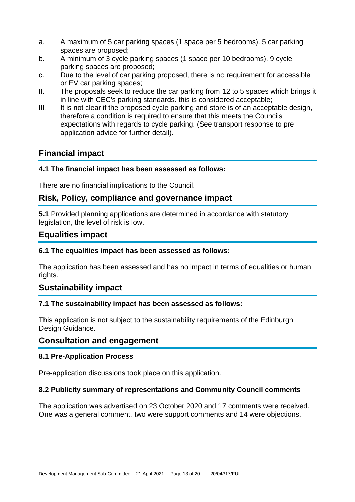- a. A maximum of 5 car parking spaces (1 space per 5 bedrooms). 5 car parking spaces are proposed;
- b. A minimum of 3 cycle parking spaces (1 space per 10 bedrooms). 9 cycle parking spaces are proposed;
- c. Due to the level of car parking proposed, there is no requirement for accessible or EV car parking spaces;
- II. The proposals seek to reduce the car parking from 12 to 5 spaces which brings it in line with CEC's parking standards. this is considered acceptable;
- III. It is not clear if the proposed cycle parking and store is of an acceptable design, therefore a condition is required to ensure that this meets the Councils expectations with regards to cycle parking. (See transport response to pre application advice for further detail).

# **Financial impact**

### **4.1 The financial impact has been assessed as follows:**

There are no financial implications to the Council.

### **Risk, Policy, compliance and governance impact**

**5.1** Provided planning applications are determined in accordance with statutory legislation, the level of risk is low.

# **Equalities impact**

### **6.1 The equalities impact has been assessed as follows:**

The application has been assessed and has no impact in terms of equalities or human rights.

# **Sustainability impact**

### **7.1 The sustainability impact has been assessed as follows:**

This application is not subject to the sustainability requirements of the Edinburgh Design Guidance.

### **Consultation and engagement**

### **8.1 Pre-Application Process**

Pre-application discussions took place on this application.

### **8.2 Publicity summary of representations and Community Council comments**

The application was advertised on 23 October 2020 and 17 comments were received. One was a general comment, two were support comments and 14 were objections.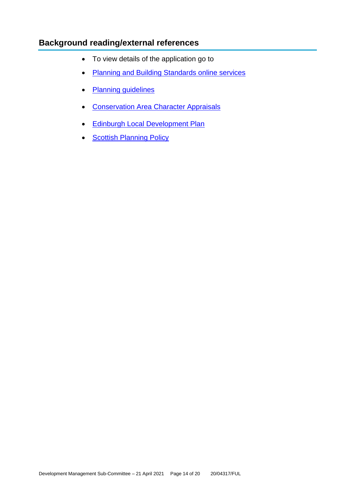# **Background reading/external references**

- To view details of the application go to
- [Planning and Building Standards online services](https://citydev-portal.edinburgh.gov.uk/idoxpa-web/search.do?action=simple&searchType=Application)
- [Planning guidelines](http://www.edinburgh.gov.uk/planningguidelines)
- [Conservation Area Character Appraisals](http://www.edinburgh.gov.uk/characterappraisals)
- [Edinburgh Local Development Plan](http://www.edinburgh.gov.uk/localdevelopmentplan)
- **[Scottish Planning Policy](http://www.scotland.gov.uk/Topics/Built-Environment/planning/Policy)**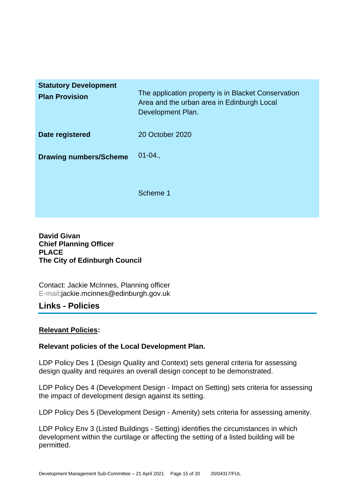| <b>Statutory Development</b><br><b>Plan Provision</b> | The application property is in Blacket Conservation<br>Area and the urban area in Edinburgh Local<br>Development Plan. |
|-------------------------------------------------------|------------------------------------------------------------------------------------------------------------------------|
| Date registered                                       | 20 October 2020                                                                                                        |
| <b>Drawing numbers/Scheme</b>                         | $01 - 04.$                                                                                                             |
|                                                       | Scheme 1                                                                                                               |

**David Givan Chief Planning Officer PLACE The City of Edinburgh Council**

Contact: Jackie McInnes, Planning officer E-mail:jackie.mcinnes@edinburgh.gov.uk

# **Links - Policies**

### **Relevant Policies:**

### **Relevant policies of the Local Development Plan.**

LDP Policy Des 1 (Design Quality and Context) sets general criteria for assessing design quality and requires an overall design concept to be demonstrated.

LDP Policy Des 4 (Development Design - Impact on Setting) sets criteria for assessing the impact of development design against its setting.

LDP Policy Des 5 (Development Design - Amenity) sets criteria for assessing amenity.

LDP Policy Env 3 (Listed Buildings - Setting) identifies the circumstances in which development within the curtilage or affecting the setting of a listed building will be permitted.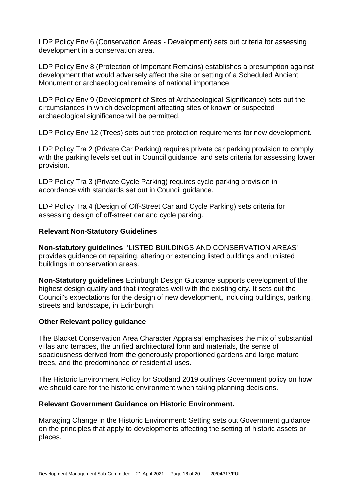LDP Policy Env 6 (Conservation Areas - Development) sets out criteria for assessing development in a conservation area.

LDP Policy Env 8 (Protection of Important Remains) establishes a presumption against development that would adversely affect the site or setting of a Scheduled Ancient Monument or archaeological remains of national importance.

LDP Policy Env 9 (Development of Sites of Archaeological Significance) sets out the circumstances in which development affecting sites of known or suspected archaeological significance will be permitted.

LDP Policy Env 12 (Trees) sets out tree protection requirements for new development.

LDP Policy Tra 2 (Private Car Parking) requires private car parking provision to comply with the parking levels set out in Council guidance, and sets criteria for assessing lower provision.

LDP Policy Tra 3 (Private Cycle Parking) requires cycle parking provision in accordance with standards set out in Council guidance.

LDP Policy Tra 4 (Design of Off-Street Car and Cycle Parking) sets criteria for assessing design of off-street car and cycle parking.

### **Relevant Non-Statutory Guidelines**

**Non-statutory guidelines** 'LISTED BUILDINGS AND CONSERVATION AREAS' provides guidance on repairing, altering or extending listed buildings and unlisted buildings in conservation areas.

**Non-Statutory guidelines** Edinburgh Design Guidance supports development of the highest design quality and that integrates well with the existing city. It sets out the Council's expectations for the design of new development, including buildings, parking, streets and landscape, in Edinburgh.

### **Other Relevant policy guidance**

The Blacket Conservation Area Character Appraisal emphasises the mix of substantial villas and terraces, the unified architectural form and materials, the sense of spaciousness derived from the generously proportioned gardens and large mature trees, and the predominance of residential uses.

The Historic Environment Policy for Scotland 2019 outlines Government policy on how we should care for the historic environment when taking planning decisions.

### **Relevant Government Guidance on Historic Environment.**

Managing Change in the Historic Environment: Setting sets out Government guidance on the principles that apply to developments affecting the setting of historic assets or places.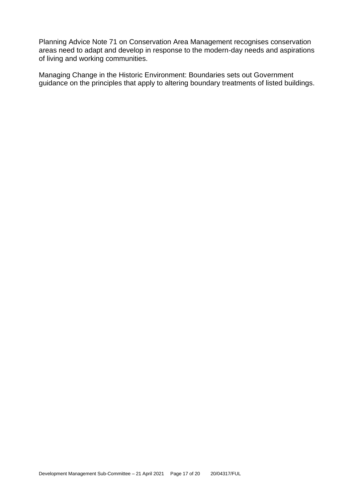Planning Advice Note 71 on Conservation Area Management recognises conservation areas need to adapt and develop in response to the modern-day needs and aspirations of living and working communities.

Managing Change in the Historic Environment: Boundaries sets out Government guidance on the principles that apply to altering boundary treatments of listed buildings.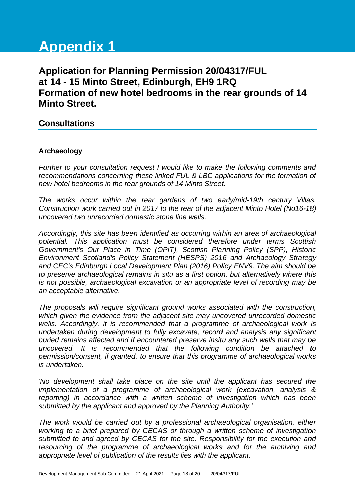# **Appendix 1**

# **Application for Planning Permission 20/04317/FUL at 14 - 15 Minto Street, Edinburgh, EH9 1RQ Formation of new hotel bedrooms in the rear grounds of 14 Minto Street.**

### **Consultations**

### **Archaeology**

*Further to your consultation request I would like to make the following comments and recommendations concerning these linked FUL & LBC applications for the formation of new hotel bedrooms in the rear grounds of 14 Minto Street.*

*The works occur within the rear gardens of two early/mid-19th century Villas. Construction work carried out in 2017 to the rear of the adjacent Minto Hotel (No16-18) uncovered two unrecorded domestic stone line wells.*

*Accordingly, this site has been identified as occurring within an area of archaeological potential. This application must be considered therefore under terms Scottish Government's Our Place in Time (OPIT), Scottish Planning Policy (SPP), Historic Environment Scotland's Policy Statement (HESPS) 2016 and Archaeology Strategy and CEC's Edinburgh Local Development Plan (2016) Policy ENV9. The aim should be to preserve archaeological remains in situ as a first option, but alternatively where this is not possible, archaeological excavation or an appropriate level of recording may be an acceptable alternative.*

*The proposals will require significant ground works associated with the construction, which given the evidence from the adjacent site may uncovered unrecorded domestic wells. Accordingly, it is recommended that a programme of archaeological work is undertaken during development to fully excavate, record and analysis any significant buried remains affected and if encountered preserve insitu any such wells that may be uncovered. It is recommended that the following condition be attached to permission/consent, if granted, to ensure that this programme of archaeological works is undertaken.* 

*'No development shall take place on the site until the applicant has secured the implementation of a programme of archaeological work (excavation, analysis & reporting)* in accordance with a written scheme of investigation which has been *submitted by the applicant and approved by the Planning Authority.'* 

*The work would be carried out by a professional archaeological organisation, either working to a brief prepared by CECAS or through a written scheme of investigation submitted to and agreed by CECAS for the site. Responsibility for the execution and resourcing of the programme of archaeological works and for the archiving and appropriate level of publication of the results lies with the applicant.*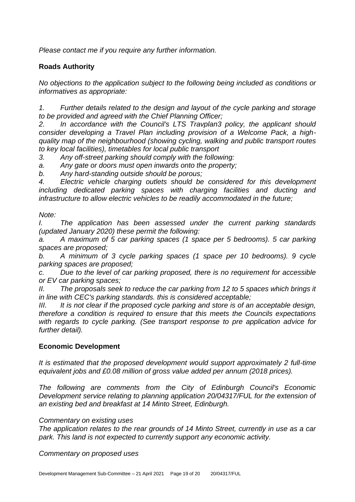*Please contact me if you require any further information.*

### **Roads Authority**

*No objections to the application subject to the following being included as conditions or informatives as appropriate:*

*1. Further details related to the design and layout of the cycle parking and storage to be provided and agreed with the Chief Planning Officer;* 

*2. In accordance with the Council's LTS Travplan3 policy, the applicant should consider developing a Travel Plan including provision of a Welcome Pack, a highquality map of the neighbourhood (showing cycling, walking and public transport routes to key local facilities), timetables for local public transport*

*3. Any off-street parking should comply with the following:*

*a. Any gate or doors must open inwards onto the property;*

*b. Any hard-standing outside should be porous;*

*4. Electric vehicle charging outlets should be considered for this development including dedicated parking spaces with charging facilities and ducting and infrastructure to allow electric vehicles to be readily accommodated in the future;*

### *Note:*

*I. The application has been assessed under the current parking standards (updated January 2020) these permit the following:*

*a. A maximum of 5 car parking spaces (1 space per 5 bedrooms). 5 car parking spaces are proposed;*

*b. A minimum of 3 cycle parking spaces (1 space per 10 bedrooms). 9 cycle parking spaces are proposed;*

*c. Due to the level of car parking proposed, there is no requirement for accessible or EV car parking spaces;*

*II. The proposals seek to reduce the car parking from 12 to 5 spaces which brings it in line with CEC's parking standards. this is considered acceptable;*

*III. It is not clear if the proposed cycle parking and store is of an acceptable design, therefore a condition is required to ensure that this meets the Councils expectations with regards to cycle parking. (See transport response to pre application advice for further detail).*

### **Economic Development**

*It is estimated that the proposed development would support approximately 2 full-time equivalent jobs and £0.08 million of gross value added per annum (2018 prices).*

*The following are comments from the City of Edinburgh Council's Economic Development service relating to planning application 20/04317/FUL for the extension of an existing bed and breakfast at 14 Minto Street, Edinburgh.*

### *Commentary on existing uses*

*The application relates to the rear grounds of 14 Minto Street, currently in use as a car park. This land is not expected to currently support any economic activity.*

*Commentary on proposed uses*